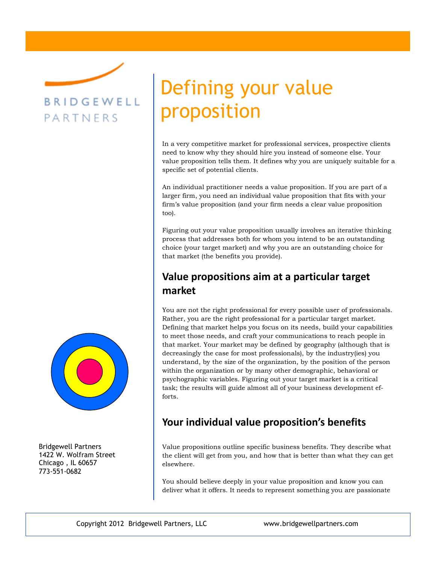# BRIDGEWELL PARTNERS

Bridgewell Partners 1422 W. Wolfram Street Chicago , IL 60657 773-551-0682

# Defining your value proposition

In a very competitive market for professional services, prospective clients need to know why they should hire you instead of someone else. Your value proposition tells them. It defines why you are uniquely suitable for a specific set of potential clients.

An individual practitioner needs a value proposition. If you are part of a larger firm, you need an individual value proposition that fits with your firm's value proposition (and your firm needs a clear value proposition too).

Figuring out your value proposition usually involves an iterative thinking process that addresses both for whom you intend to be an outstanding choice (your target market) and why you are an outstanding choice for that market (the benefits you provide).

## **Value propositions aim at a particular target market**

You are not the right professional for every possible user of professionals. Rather, you are the right professional for a particular target market. Defining that market helps you focus on its needs, build your capabilities to meet those needs, and craft your communications to reach people in that market. Your market may be defined by geography (although that is decreasingly the case for most professionals), by the industry(ies) you understand, by the size of the organization, by the position of the person within the organization or by many other demographic, behavioral or psychographic variables. Figuring out your target market is a critical task; the results will guide almost all of your business development efforts.

### **Your individual value proposition's benefits**

Value propositions outline specific business benefits. They describe what the client will get from you, and how that is better than what they can get elsewhere.

You should believe deeply in your value proposition and know you can deliver what it offers. It needs to represent something you are passionate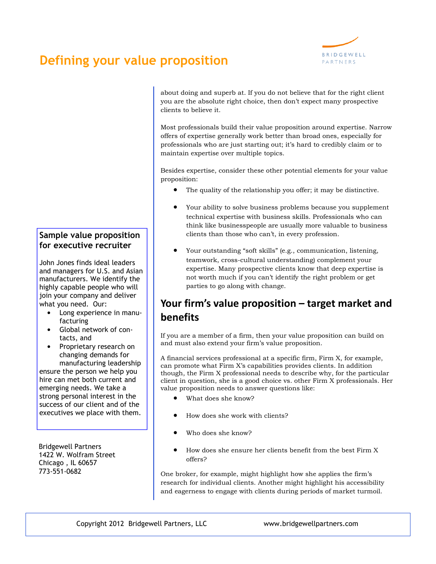# **Defining your value proposition**



about doing and superb at. If you do not believe that for the right client you are the absolute right choice, then don't expect many prospective clients to believe it.

Most professionals build their value proposition around expertise. Narrow offers of expertise generally work better than broad ones, especially for professionals who are just starting out; it's hard to credibly claim or to maintain expertise over multiple topics.

Besides expertise, consider these other potential elements for your value proposition:

- The quality of the relationship you offer; it may be distinctive.
- Your ability to solve business problems because you supplement technical expertise with business skills. Professionals who can think like businesspeople are usually more valuable to business clients than those who can't, in every profession.
- Your outstanding "soft skills" (e.g., communication, listening, teamwork, cross-cultural understanding) complement your expertise. Many prospective clients know that deep expertise is not worth much if you can't identify the right problem or get parties to go along with change.

### **Your firm's value proposition – target market and benefits**

If you are a member of a firm, then your value proposition can build on and must also extend your firm's value proposition.

A financial services professional at a specific firm, Firm X, for example, can promote what Firm X's capabilities provides clients. In addition though, the Firm X professional needs to describe why, for the particular client in question, she is a good choice vs. other Firm X professionals. Her value proposition needs to answer questions like:

- What does she know?
- How does she work with clients?
- Who does she know?
- How does she ensure her clients benefit from the best Firm X offers?

One broker, for example, might highlight how she applies the firm's research for individual clients. Another might highlight his accessibility and eagerness to engage with clients during periods of market turmoil.

#### **Sample value proposition for executive recruiter**

John Jones finds ideal leaders and managers for U.S. and Asian manufacturers. We identify the highly capable people who will join your company and deliver what you need. Our:

- Long experience in manufacturing
- Global network of contacts, and
- Proprietary research on changing demands for manufacturing leadership

ensure the person we help you hire can met both current and emerging needs. We take a strong personal interest in the success of our client and of the executives we place with them.

Bridgewell Partners 1422 W. Wolfram Street Chicago , IL 60657 773-551-0682

Copyright 2012 Bridgewell Partners, LLC www.bridgewellpartners.com